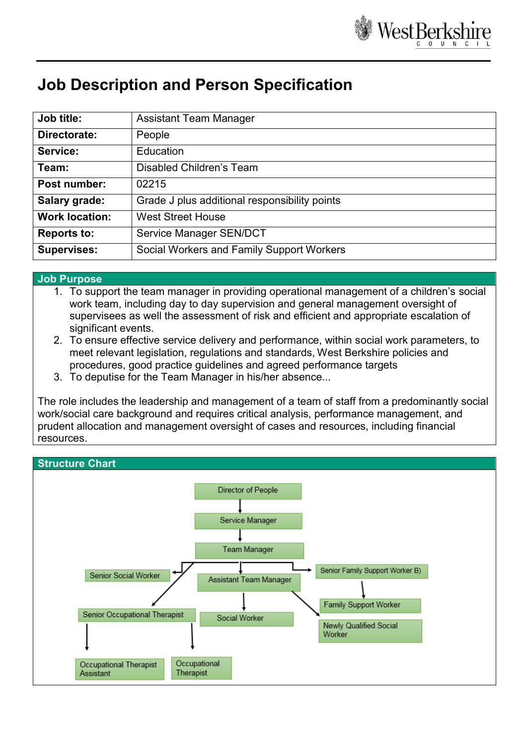

# **Job Description and Person Specification**

| Job title:            | <b>Assistant Team Manager</b>                 |
|-----------------------|-----------------------------------------------|
| Directorate:          | People                                        |
| Service:              | Education                                     |
| Team:                 | <b>Disabled Children's Team</b>               |
| Post number:          | 02215                                         |
| Salary grade:         | Grade J plus additional responsibility points |
| <b>Work location:</b> | <b>West Street House</b>                      |
| <b>Reports to:</b>    | Service Manager SEN/DCT                       |
| <b>Supervises:</b>    | Social Workers and Family Support Workers     |

#### **Job Purpose**

- 1. To support the team manager in providing operational management of a children's social work team, including day to day supervision and general management oversight of supervisees as well the assessment of risk and efficient and appropriate escalation of significant events.
- 2. To ensure effective service delivery and performance, within social work parameters, to meet relevant legislation, regulations and standards, West Berkshire policies and procedures, good practice guidelines and agreed performance targets
- 3. To deputise for the Team Manager in his/her absence...

The role includes the leadership and management of a team of staff from a predominantly social work/social care background and requires critical analysis, performance management, and prudent allocation and management oversight of cases and resources, including financial resources.

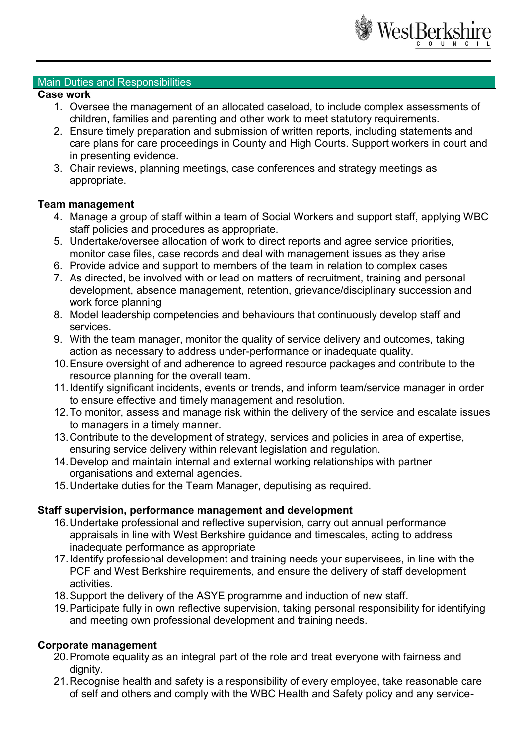

#### Main Duties and Responsibilities

#### **Case work**

- 1. Oversee the management of an allocated caseload, to include complex assessments of children, families and parenting and other work to meet statutory requirements.
- 2. Ensure timely preparation and submission of written reports, including statements and care plans for care proceedings in County and High Courts. Support workers in court and in presenting evidence.
- 3. Chair reviews, planning meetings, case conferences and strategy meetings as appropriate.

### **Team management**

- 4. Manage a group of staff within a team of Social Workers and support staff, applying WBC staff policies and procedures as appropriate.
- 5. Undertake/oversee allocation of work to direct reports and agree service priorities, monitor case files, case records and deal with management issues as they arise
- 6. Provide advice and support to members of the team in relation to complex cases
- 7. As directed, be involved with or lead on matters of recruitment, training and personal development, absence management, retention, grievance/disciplinary succession and work force planning
- 8. Model leadership competencies and behaviours that continuously develop staff and services.
- 9. With the team manager, monitor the quality of service delivery and outcomes, taking action as necessary to address under-performance or inadequate quality.
- 10.Ensure oversight of and adherence to agreed resource packages and contribute to the resource planning for the overall team.
- 11.Identify significant incidents, events or trends, and inform team/service manager in order to ensure effective and timely management and resolution.
- 12.To monitor, assess and manage risk within the delivery of the service and escalate issues to managers in a timely manner.
- 13.Contribute to the development of strategy, services and policies in area of expertise, ensuring service delivery within relevant legislation and regulation.
- 14.Develop and maintain internal and external working relationships with partner organisations and external agencies.
- 15.Undertake duties for the Team Manager, deputising as required.

## **Staff supervision, performance management and development**

- 16.Undertake professional and reflective supervision, carry out annual performance appraisals in line with West Berkshire guidance and timescales, acting to address inadequate performance as appropriate
- 17.Identify professional development and training needs your supervisees, in line with the PCF and West Berkshire requirements, and ensure the delivery of staff development activities.
- 18.Support the delivery of the ASYE programme and induction of new staff.
- 19.Participate fully in own reflective supervision, taking personal responsibility for identifying and meeting own professional development and training needs.

# **Corporate management**

- 20.Promote equality as an integral part of the role and treat everyone with fairness and dignity.
- 21.Recognise health and safety is a responsibility of every employee, take reasonable care of self and others and comply with the WBC Health and Safety policy and any service-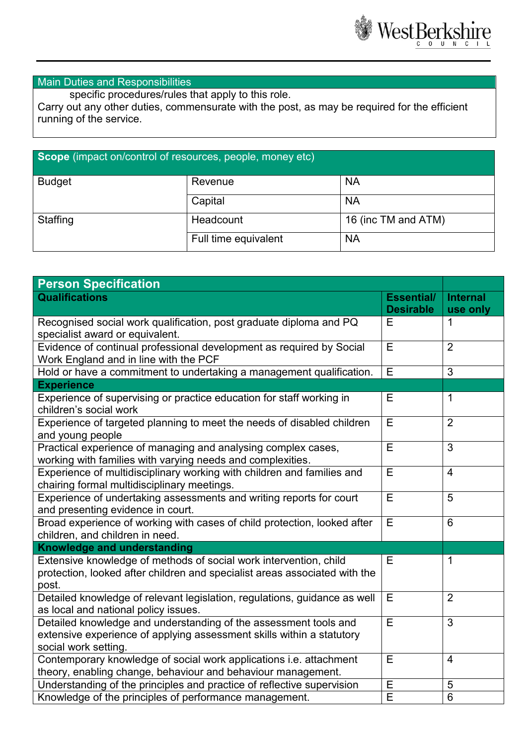

## Main Duties and Responsibilities

specific procedures/rules that apply to this role.

Carry out any other duties, commensurate with the post, as may be required for the efficient running of the service.

# **Scope** (impact on/control of resources, people, money etc)

| <b>Budget</b> | Revenue              | <b>NA</b>           |
|---------------|----------------------|---------------------|
|               | Capital              | <b>NA</b>           |
| Staffing      | Headcount            | 16 (inc TM and ATM) |
|               | Full time equivalent | <b>NA</b>           |

| <b>Person Specification</b>                                                                                   |                   |                 |
|---------------------------------------------------------------------------------------------------------------|-------------------|-----------------|
| <b>Qualifications</b>                                                                                         | <b>Essential/</b> | <b>Internal</b> |
|                                                                                                               | <b>Desirable</b>  | use only        |
| Recognised social work qualification, post graduate diploma and PQ                                            | Е                 | $\mathbf 1$     |
| specialist award or equivalent.                                                                               | E                 |                 |
| Evidence of continual professional development as required by Social<br>Work England and in line with the PCF |                   | $\overline{2}$  |
| Hold or have a commitment to undertaking a management qualification.                                          |                   | $\overline{3}$  |
| <b>Experience</b>                                                                                             | E                 |                 |
| Experience of supervising or practice education for staff working in                                          | Е                 | $\mathbf{1}$    |
| children's social work                                                                                        |                   |                 |
| Experience of targeted planning to meet the needs of disabled children                                        | E                 | $\overline{2}$  |
| and young people                                                                                              |                   |                 |
| Practical experience of managing and analysing complex cases,                                                 | Ε                 | 3               |
| working with families with varying needs and complexities.                                                    |                   |                 |
| Experience of multidisciplinary working with children and families and                                        | Ε                 | $\overline{4}$  |
| chairing formal multidisciplinary meetings.                                                                   |                   |                 |
| Experience of undertaking assessments and writing reports for court                                           |                   | $\overline{5}$  |
| and presenting evidence in court.                                                                             |                   |                 |
| Broad experience of working with cases of child protection, looked after                                      |                   | 6               |
| children, and children in need.                                                                               |                   |                 |
| <b>Knowledge and understanding</b>                                                                            |                   |                 |
| Extensive knowledge of methods of social work intervention, child                                             | E                 | $\mathbf{1}$    |
| protection, looked after children and specialist areas associated with the                                    |                   |                 |
| post.                                                                                                         |                   |                 |
| Detailed knowledge of relevant legislation, regulations, guidance as well                                     | Ε                 | $\overline{2}$  |
| as local and national policy issues.                                                                          |                   |                 |
| Detailed knowledge and understanding of the assessment tools and                                              | E                 | $\overline{3}$  |
| extensive experience of applying assessment skills within a statutory                                         |                   |                 |
| social work setting.                                                                                          |                   |                 |
| Contemporary knowledge of social work applications i.e. attachment                                            | E                 | 4               |
| theory, enabling change, behaviour and behaviour management.                                                  |                   |                 |
| Understanding of the principles and practice of reflective supervision                                        | Ε                 | $\sqrt{5}$      |
| Knowledge of the principles of performance management.                                                        | E                 | $\overline{6}$  |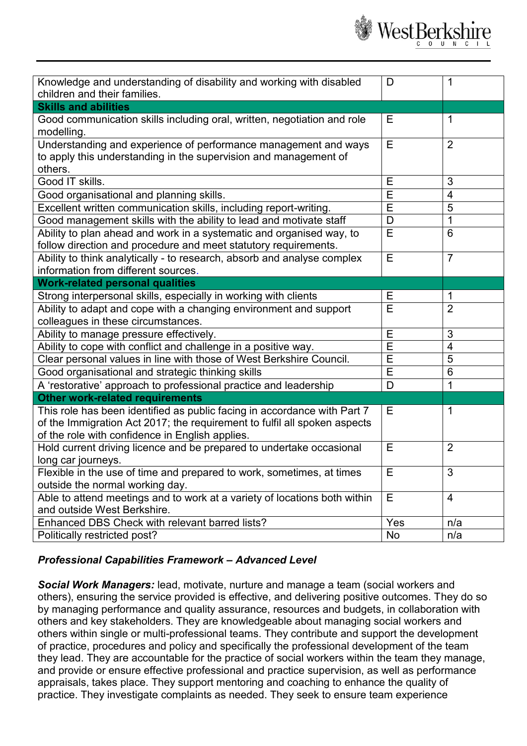

| Knowledge and understanding of disability and working with disabled<br>children and their families.                     | D              | 1               |
|-------------------------------------------------------------------------------------------------------------------------|----------------|-----------------|
| <b>Skills and abilities</b>                                                                                             |                |                 |
| Good communication skills including oral, written, negotiation and role                                                 | Е              | 1               |
| modelling.                                                                                                              |                |                 |
| Understanding and experience of performance management and ways                                                         | E              | $\overline{2}$  |
| to apply this understanding in the supervision and management of                                                        |                |                 |
| others.                                                                                                                 |                |                 |
| Good IT skills.                                                                                                         | E              | 3               |
| Good organisational and planning skills.                                                                                | E              | $\overline{4}$  |
| Excellent written communication skills, including report-writing.                                                       | E              | 5               |
| Good management skills with the ability to lead and motivate staff                                                      | D              | $\mathbf 1$     |
| Ability to plan ahead and work in a systematic and organised way, to                                                    | E              | 6               |
| follow direction and procedure and meet statutory requirements.                                                         |                |                 |
| Ability to think analytically - to research, absorb and analyse complex                                                 | Е              | $\overline{7}$  |
| information from different sources.                                                                                     |                |                 |
| <b>Work-related personal qualities</b>                                                                                  |                |                 |
| Strong interpersonal skills, especially in working with clients                                                         | Ε              | 1               |
| Ability to adapt and cope with a changing environment and support                                                       | E              | $\overline{2}$  |
| colleagues in these circumstances.                                                                                      |                |                 |
| Ability to manage pressure effectively.                                                                                 | E              | 3               |
| Ability to cope with conflict and challenge in a positive way.                                                          | Ē              | $\overline{4}$  |
| Clear personal values in line with those of West Berkshire Council.                                                     | E              | 5               |
| Good organisational and strategic thinking skills                                                                       | E              | $6\phantom{1}6$ |
| A 'restorative' approach to professional practice and leadership                                                        | D              | 1               |
| <b>Other work-related requirements</b>                                                                                  |                |                 |
| This role has been identified as public facing in accordance with Part 7                                                | Е              | 1               |
| of the Immigration Act 2017; the requirement to fulfil all spoken aspects                                               |                |                 |
| of the role with confidence in English applies.<br>Hold current driving licence and be prepared to undertake occasional | E              | $\overline{2}$  |
| long car journeys.                                                                                                      |                |                 |
| Flexible in the use of time and prepared to work, sometimes, at times                                                   | $\overline{E}$ | $\overline{3}$  |
| outside the normal working day.                                                                                         |                |                 |
| Able to attend meetings and to work at a variety of locations both within                                               | E              | $\overline{4}$  |
| and outside West Berkshire.                                                                                             |                |                 |
| Enhanced DBS Check with relevant barred lists?                                                                          | Yes            | n/a             |
| Politically restricted post?                                                                                            | No             | n/a             |

# *Professional Capabilities Framework – Advanced Level*

*Social Work Managers:* lead, motivate, nurture and manage a team (social workers and others), ensuring the service provided is effective, and delivering positive outcomes. They do so by managing performance and quality assurance, resources and budgets, in collaboration with others and key stakeholders. They are knowledgeable about managing social workers and others within single or multi-professional teams. They contribute and support the development of practice, procedures and policy and specifically the professional development of the team they lead. They are accountable for the practice of social workers within the team they manage, and provide or ensure effective professional and practice supervision, as well as performance appraisals, takes place. They support mentoring and coaching to enhance the quality of practice. They investigate complaints as needed. They seek to ensure team experience